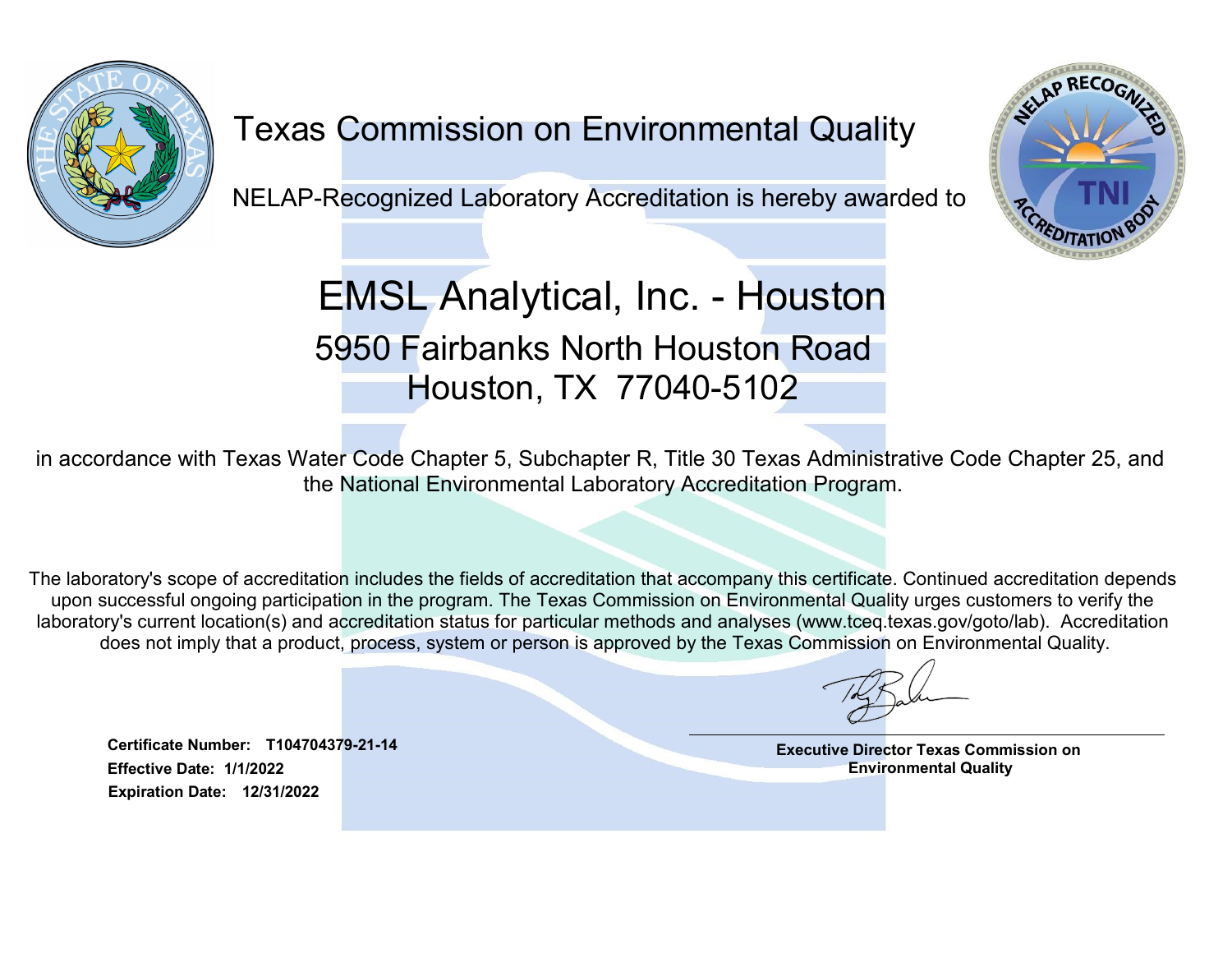

## Texas Commission on Environmental Quality

NELAP-Recognized Laboratory Accreditation is hereby awarded to



EMSL Analytical, Inc. - Houston 5950 Fairbanks North Houston Road Houston, TX 77040-5102

in accordance with Texas Water Code Chapter 5, Subchapter R, Title 30 Texas Administrative Code Chapter 25, and the National Environmental Laboratory Accreditation Program.

5950 Fairbanks North Houstor<br>
Houston, TX 77040-510<br>
rdance with Texas Water Code Chapter 5, Subchapter R, Title 30 Tex<br>
the National Environmental Laboratory Accreditat<br>
atory's scope of accreditation includes the fields The laboratory's scope of accreditation includes the fields of accreditation that accompany this certificate. Continued accreditation depends upon successful ongoing participation in the program. The Texas Commission on Environmental Quality urges customers to verify the laboratory's current location(s) and accreditation status for particular methods and analyses (www.tceq.texas.gov/goto/lab). Accreditation does not imply that a product, process, system or person is approved by the Texas Commission on Environmental Quality.

Effective Date: 1/1/2022 Expiration Date: 12/31/2022 Executive Director Texas Commission on Environmental Quality